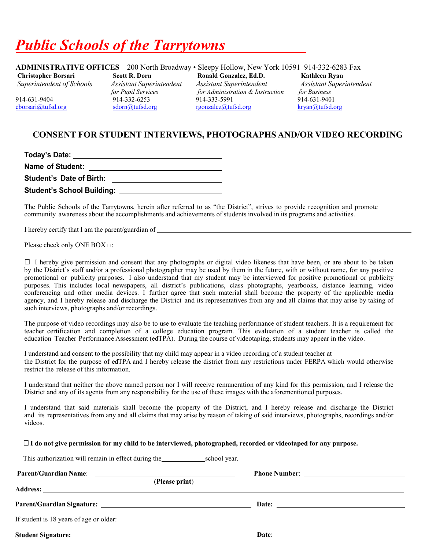## *Public Schools of the Tarrytowns*

**ADMINISTRATIVE OFFICES** 200 North Broadway • Sleepy Hollow, New York 10591 914-332-6283 Fax **Christopher Borsari** Scott R. Dorn Ronald Gonzalez, Ed.D. Kathleen Ryan *Superintendent of Schools Assistant Superintendent* Assistant Superintendent *Assistant Superintendent Assistant Superintendent Superintendent of Schools Assistant Superintendent Assistant Superintendent**Assistant Superintendent for Pupil Services for Administration & Instruction for Business* 914-631-9404 914-332-6253 914-332-6253 914-333-5991 914-631-9401<br>
919-631-9401 914-631-9401 914-631-9401 914-631-9401 914-631-9401 rgonzalez@tufsd.org

## **CONSENT FOR STUDENT INTERVIEWS, PHOTOGRAPHS AND/OR VIDEO RECORDING**

| Today's Date:                     |  |
|-----------------------------------|--|
| Name of Student:                  |  |
| <b>Student's Date of Birth:</b>   |  |
| <b>Student's School Building:</b> |  |

The Public Schools of the Tarrytowns, herein after referred to as "the District", strives to provide recognition and promote community awareness about the accomplishments and achievements of students involved in its programs and activities.

I hereby certify that I am the parent/guardian of

Please check only ONE BOX □:

 $\Box$  I hereby give permission and consent that any photographs or digital video likeness that have been, or are about to be taken by the District's staff and/or a professional photographer may be used by them in the future, with or without name, for any positive promotional or publicity purposes. I also understand that my student may be interviewed for positive promotional or publicity purposes. This includes local newspapers, all district's publications, class photographs, yearbooks, distance learning, video conferencing and other media devices. I further agree that such material shall become the property of the applicable media agency, and I hereby release and discharge the District and its representatives from any and all claims that may arise by taking of such interviews, photographs and/or recordings.

The purpose of video recordings may also be to use to evaluate the teaching performance of student teachers. It is a requirement for teacher certification and completion of a college education program. This evaluation of a student teacher is called the education Teacher Performance Assessment (edTPA). During the course of videotaping, students may appear in the video.

I understand and consent to the possibility that my child may appear in a video recording of a student teacher at the District for the purpose of edTPA and I hereby release the district from any restrictions under FERPA which would otherwise restrict the release of this information.

I understand that neither the above named person nor I will receive remuneration of any kind for this permission, and I release the District and any of its agents from any responsibility for the use of these images with the aforementioned purposes.

I understand that said materials shall become the property of the District, and I hereby release and discharge the District and its representatives from any and all claims that may arise by reason of taking of said interviews, photographs, recordings and/or videos.

#### □ I do not give permission for my child to be interviewed, photographed, recorded or videotaped for any purpose.

| (Please print)                          |       |
|-----------------------------------------|-------|
|                                         |       |
| If student is 18 years of age or older: |       |
|                                         | Date: |